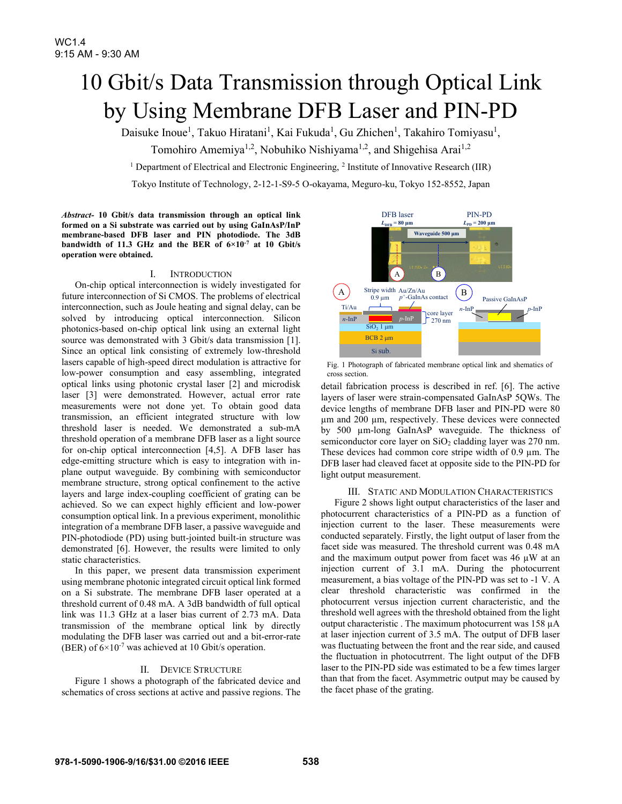# 10 Gbit/s Data Transmission through Optical Link by Using Membrane DFB Laser and PIN-PD

Daisuke Inoue<sup>1</sup>, Takuo Hiratani<sup>1</sup>, Kai Fukuda<sup>1</sup>, Gu Zhichen<sup>1</sup>, Takahiro Tomiyasu<sup>1</sup>,

Tomohiro Amemiya<sup>1,2</sup>, Nobuhiko Nishiyama<sup>1,2</sup>, and Shigehisa Arai<sup>1,2</sup>

<sup>1</sup> Department of Electrical and Electronic Engineering, <sup>2</sup> Institute of Innovative Research (IIR)

Tokyo Institute of Technology, 2-12-1-S9-5 O-okayama, Meguro-ku, Tokyo 152-8552, Japan

*Abstract-* **10 Gbit/s data transmission through an optical link formed on a Si substrate was carried out by using GaInAsP/InP membrane-based DFB laser and PIN photodiode. The 3dB bandwidth of 11.3 GHz and the BER of 6×10-7 at 10 Gbit/s operation were obtained.** 

#### I. INTRODUCTION

On-chip optical interconnection is widely investigated for future interconnection of Si CMOS. The problems of electrical interconnection, such as Joule heating and signal delay, can be solved by introducing optical interconnection. Silicon photonics-based on-chip optical link using an external light source was demonstrated with 3 Gbit/s data transmission [1]. Since an optical link consisting of extremely low-threshold lasers capable of high-speed direct modulation is attractive for low-power consumption and easy assembling, integrated optical links using photonic crystal laser [2] and microdisk laser [3] were demonstrated. However, actual error rate measurements were not done yet. To obtain good data transmission, an efficient integrated structure with low threshold laser is needed. We demonstrated a sub-mA threshold operation of a membrane DFB laser as a light source for on-chip optical interconnection [4,5]. A DFB laser has edge-emitting structure which is easy to integration with inplane output waveguide. By combining with semiconductor membrane structure, strong optical confinement to the active layers and large index-coupling coefficient of grating can be achieved. So we can expect highly efficient and low-power consumption optical link. In a previous experiment, monolithic integration of a membrane DFB laser, a passive waveguide and PIN-photodiode (PD) using butt-jointed built-in structure was demonstrated [6]. However, the results were limited to only static characteristics.

In this paper, we present data transmission experiment using membrane photonic integrated circuit optical link formed on a Si substrate. The membrane DFB laser operated at a threshold current of 0.48 mA. A 3dB bandwidth of full optical link was 11.3 GHz at a laser bias current of 2.73 mA. Data transmission of the membrane optical link by directly modulating the DFB laser was carried out and a bit-error-rate (BER) of  $6 \times 10^{-7}$  was achieved at 10 Gbit/s operation.

## II. DEVICE STRUCTURE

Figure 1 shows a photograph of the fabricated device and schematics of cross sections at active and passive regions. The



Fig. 1 Photograph of fabricated membrane optical link and shematics of cross section.

detail fabrication process is described in ref. [6]. The active layers of laser were strain-compensated GaInAsP 5QWs. The device lengths of membrane DFB laser and PIN-PD were 80 µm and 200 µm, respectively. These devices were connected by 500 µm-long GaInAsP waveguide. The thickness of semiconductor core layer on SiO<sub>2</sub> cladding layer was 270 nm. These devices had common core stripe width of  $0.9 \mu$ m. The DFB laser had cleaved facet at opposite side to the PIN-PD for light output measurement.

### III. STATIC AND MODULATION CHARACTERISTICS

Figure 2 shows light output characteristics of the laser and photocurrent characteristics of a PIN-PD as a function of injection current to the laser. These measurements were conducted separately. Firstly, the light output of laser from the facet side was measured. The threshold current was 0.48 mA and the maximum output power from facet was  $46 \mu W$  at an injection current of 3.1 mA. During the photocurrent measurement, a bias voltage of the PIN-PD was set to -1 V. A clear threshold characteristic was confirmed in the photocurrent versus injection current characteristic, and the threshold well agrees with the threshold obtained from the light output characteristic . The maximum photocurrent was 158 µA at laser injection current of 3.5 mA. The output of DFB laser was fluctuating between the front and the rear side, and caused the fluctuation in photocutrrent. The light output of the DFB laser to the PIN-PD side was estimated to be a few times larger than that from the facet. Asymmetric output may be caused by the facet phase of the grating.